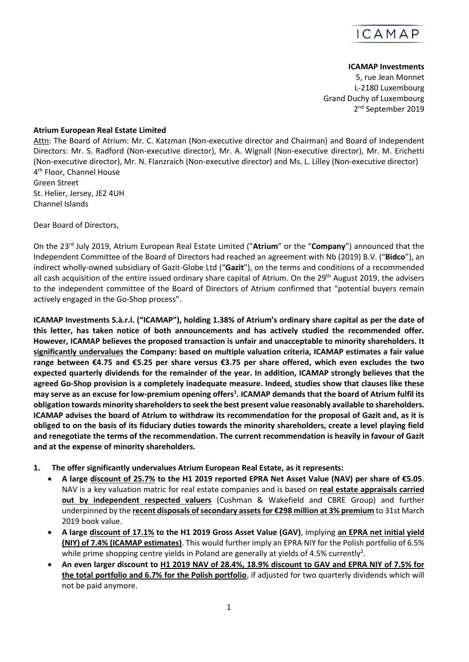

## **ICAMAP Investments**

5, rue Jean Monnet L-2180 Luxembourg Grand Duchy of Luxembourg 2<sup>nd</sup> September 2019

## **Atrium European Real Estate Limited**

Attn: The Board of Atrium: Mr. C. Katzman (Non-executive director and Chairman) and Board of Independent Directors: Mr. S. Radford (Non-executive director), Mr. A. Wignall (Non-executive director), Mr. M. Erichetti (Non-executive director), Mr. N. Flanzraich (Non-executive director) and Ms. L. Lilley (Non-executive director) 4 th Floor, Channel House Green Street St. Helier, Jersey, JE2 4UH Channel Islands

Dear Board of Directors,

On the 23rd July 2019, Atrium European Real Estate Limited ("**Atrium**" or the "**Company**") announced that the Independent Committee of the Board of Directors had reached an agreement with Nb (2019) B.V. ("**Bidco**"), an indirect wholly-owned subsidiary of Gazit-Globe Ltd ("**Gazit**"), on the terms and conditions of a recommended all cash acquisition of the entire issued ordinary share capital of Atrium. On the  $29<sup>th</sup>$  August 2019, the advisers to the independent committee of the Board of Directors of Atrium confirmed that "potential buyers remain actively engaged in the Go-Shop process".

<span id="page-0-0"></span>**ICAMAP Investments S.à.r.l. ("ICAMAP"), holding 1.38% of Atrium's ordinary share capital as per the date of this letter, has taken notice of both announcements and has actively studied the recommended offer. However, ICAMAP believes the proposed transaction is unfair and unacceptable to minority shareholders. It significantly undervalues the Company: based on multiple valuation criteria, ICAMAP estimates a fair value range between €4.75 and €5.25 per share versus €3.75 per share offered, which even excludes the two expected quarterly dividends for the remainder of the year. In addition, ICAMAP strongly believes that the agreed Go-Shop provision is a completely inadequate measure. Indeed, studies show that clauses like these may serve as an excuse for low-premium opening offers<sup>1</sup> . ICAMAP demands that the board of Atrium fulfil its obligation towards minority shareholdersto seek the best present value reasonably available to shareholders. ICAMAP advises the board of Atrium to withdraw its recommendation for the proposal of Gazit and, as it is obliged to on the basis of its fiduciary duties towards the minority shareholders, create a level playing field and renegotiate the terms of the recommendation. The current recommendation is heavily in favour of Gazit and at the expense of minority shareholders.**

- **1. The offer significantly undervalues Atrium European Real Estate, as it represents:**
	- **A large discount of 25.7% to the H1 2019 reported EPRA Net Asset Value (NAV) per share of €5.05**. NAV is a key valuation matric for real estate companies and is based on **real estate appraisals carried out by independent respected valuers** (Cushman & Wakefield and CBRE Group) and further underpinned by the **recent disposals of secondary assets for €298 million at 3% premium** to 31st March 2019 book value.
	- **A large discount of 17.1% to the H1 2019 Gross Asset Value (GAV)**, implying **an EPRA net initial yield (NIY) of 7.4% (ICAMAP estimates)**. This would further imply an EPRA NIY for the Polish portfolio of 6.5% while prime shopping centre yields in Poland are generally at yields of 4.5% currently<sup>2</sup>.
	- **An even larger discount to H1 2019 NAV of 28.4%, 18.9% discount to GAV and EPRA NIY of 7.5% for the total portfolio and 6.7% for the Polish portfolio**, if adjusted for two quarterly dividends which will not be paid anymore.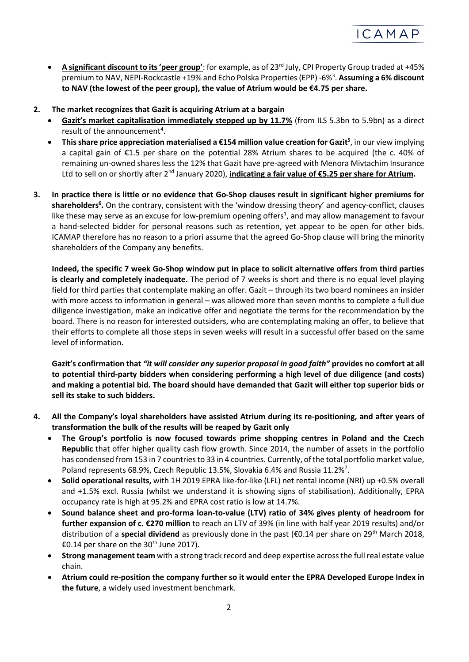

- **A significant discount to its 'peer group'**: for example, as of 23rd July, CPI Property Group traded at +45% premium to NAV, NEPI-Rockcastle +19% and Echo Polska Properties (EPP) -6% 3 . **Assuming a 6% discount to NAV (the lowest of the peer group), the value of Atrium would be €4.75 per share.**
- **2. The market recognizes that Gazit is acquiring Atrium at a bargain**
	- **Gazit's market capitalisation immediately stepped up by 11.7%** (from ILS 5.3bn to 5.9bn) as a direct result of the announcement<sup>4</sup>.
	- **This share price appreciation materialised a €154 million value creation for Gazit<sup>5</sup>** , in our view implying a capital gain of €1.5 per share on the potential 28% Atrium shares to be acquired (the c. 40% of remaining un-owned shares less the 12% that Gazit have pre-agreed with Menora Mivtachim Insurance Ltd to sell on or shortly after 2nd January 2020), **indicating a fair value of €5.25 per share for Atrium.**
- **3. In practice there is little or no evidence that Go-Shop clauses result in significant higher premiums for shareholders<sup>6</sup> .** On the contrary, consistent with the 'window dressing theory' and agency-conflict, clauses like the[s](#page-0-0)e may serve as an excuse for low-premium opening offers<sup>1</sup>, and may allow management to favour a hand-selected bidder for personal reasons such as retention, yet appear to be open for other bids. ICAMAP therefore has no reason to a priori assume that the agreed Go-Shop clause will bring the minority shareholders of the Company any benefits.

**Indeed, the specific 7 week Go-Shop window put in place to solicit alternative offers from third parties is clearly and completely inadequate.** The period of 7 weeks is short and there is no equal level playing field for third parties that contemplate making an offer. Gazit – through its two board nominees an insider with more access to information in general – was allowed more than seven months to complete a full due diligence investigation, make an indicative offer and negotiate the terms for the recommendation by the board. There is no reason for interested outsiders, who are contemplating making an offer, to believe that their efforts to complete all those steps in seven weeks will result in a successful offer based on the same level of information.

**Gazit's confirmation that** *"it will consider any superior proposal in good faith"* **provides no comfort at all to potential third-party bidders when considering performing a high level of due diligence (and costs) and making a potential bid. The board should have demanded that Gazit will either top superior bids or sell its stake to such bidders.**

- **4. All the Company's loyal shareholders have assisted Atrium during its re-positioning, and after years of transformation the bulk of the results will be reaped by Gazit only**
	- **The Group's portfolio is now focused towards prime shopping centres in Poland and the Czech Republic** that offer higher quality cash flow growth. Since 2014, the number of assets in the portfolio has condensed from 153 in 7 countries to 33 in 4 countries. Currently, of the total portfolio market value, Poland represents 68.9%, Czech Republic 13.5%, Slovakia 6.4% and Russia 11.2%<sup>7</sup>.
	- **Solid operational results,** with 1H 2019 EPRA like-for-like (LFL) net rental income (NRI) up +0.5% overall and +1.5% excl. Russia (whilst we understand it is showing signs of stabilisation). Additionally, EPRA occupancy rate is high at 95.2% and EPRA cost ratio is low at 14.7%.
	- **Sound balance sheet and pro-forma loan-to-value (LTV) ratio of 34% gives plenty of headroom for further expansion of c. €270 million** to reach an LTV of 39% (in line with half year 2019 results) and/or distribution of a **special dividend** as previously done in the past (€0.14 per share on 29th March 2018, €0.14 per share on the 30<sup>th</sup> June 2017).
	- **Strong management team** with a strong track record and deep expertise across the full real estate value chain.
	- **Atrium could re-position the company further so it would enter the EPRA Developed Europe Index in the future**, a widely used investment benchmark.